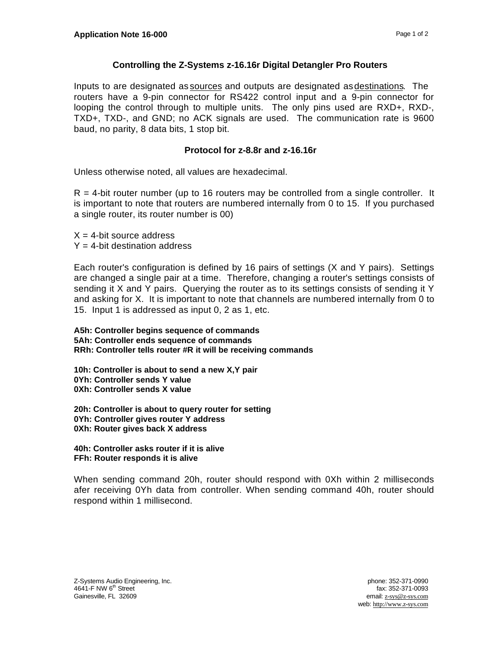## **Controlling the Z-Systems z-16.16r Digital Detangler Pro Routers**

Inputs to are designated as sources and outputs are designated as destinations. The routers have a 9-pin connector for RS422 control input and a 9-pin connector for looping the control through to multiple units. The only pins used are RXD+, RXD-, TXD+, TXD-, and GND; no ACK signals are used. The communication rate is 9600 baud, no parity, 8 data bits, 1 stop bit.

## **Protocol for z-8.8r and z-16.16r**

Unless otherwise noted, all values are hexadecimal.

 $R = 4$ -bit router number (up to 16 routers may be controlled from a single controller. It is important to note that routers are numbered internally from 0 to 15. If you purchased a single router, its router number is 00)

 $X = 4$ -bit source address  $Y = 4$ -bit destination address

Each router's configuration is defined by 16 pairs of settings (X and Y pairs). Settings are changed a single pair at a time. Therefore, changing a router's settings consists of sending it X and Y pairs. Querying the router as to its settings consists of sending it Y and asking for X. It is important to note that channels are numbered internally from 0 to 15. Input 1 is addressed as input 0, 2 as 1, etc.

**A5h: Controller begins sequence of commands 5Ah: Controller ends sequence of commands RRh: Controller tells router #R it will be receiving commands**

**10h: Controller is about to send a new X,Y pair 0Yh: Controller sends Y value 0Xh: Controller sends X value**

**20h: Controller is about to query router for setting 0Yh: Controller gives router Y address 0Xh: Router gives back X address**

**40h: Controller asks router if it is alive FFh: Router responds it is alive**

When sending command 20h, router should respond with 0Xh within 2 milliseconds afer receiving 0Yh data from controller. When sending command 40h, router should respond within 1 millisecond.